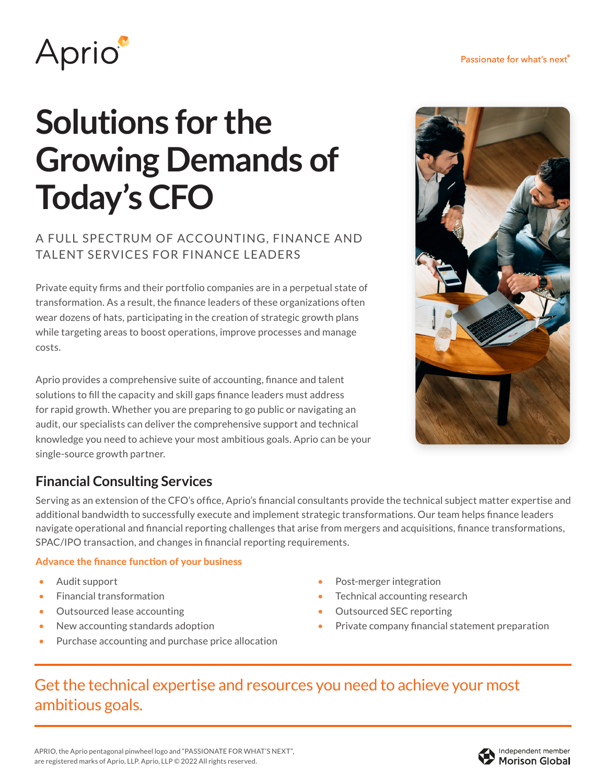

# **Solutions for the Growing Demands of Today's CFO**

#### A FULL SPECTRUM OF ACCOUNTING, FINANCE AND TALENT SERVICES FOR FINANCE LEADERS

Private equity firms and their portfolio companies are in a perpetual state of transformation. As a result, the finance leaders of these organizations often wear dozens of hats, participating in the creation of strategic growth plans while targeting areas to boost operations, improve processes and manage costs.

Aprio provides a comprehensive suite of accounting, finance and talent solutions to fill the capacity and skill gaps finance leaders must address for rapid growth. Whether you are preparing to go public or navigating an audit, our specialists can deliver the comprehensive support and technical knowledge you need to achieve your most ambitious goals. Aprio can be your single-source growth partner.



## **Financial Consulting Services**

Serving as an extension of the CFO's office, Aprio's financial consultants provide the technical subject matter expertise and additional bandwidth to successfully execute and implement strategic transformations. Our team helps finance leaders navigate operational and financial reporting challenges that arise from mergers and acquisitions, finance transformations, SPAC/IPO transaction, and changes in financial reporting requirements.

#### Advance the finance function of your business

- Audit support
- Financial transformation
- Outsourced lease accounting
- New accounting standards adoption
- Purchase accounting and purchase price allocation
- Post-merger integration
- Technical accounting research
- Outsourced SEC reporting
- Private company financial statement preparation

## Get the technical expertise and resources you need to achieve your most ambitious goals.